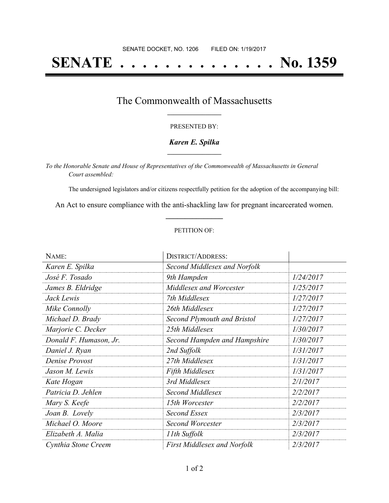# **SENATE . . . . . . . . . . . . . . No. 1359**

### The Commonwealth of Massachusetts **\_\_\_\_\_\_\_\_\_\_\_\_\_\_\_\_\_**

#### PRESENTED BY:

#### *Karen E. Spilka* **\_\_\_\_\_\_\_\_\_\_\_\_\_\_\_\_\_**

*To the Honorable Senate and House of Representatives of the Commonwealth of Massachusetts in General Court assembled:*

The undersigned legislators and/or citizens respectfully petition for the adoption of the accompanying bill:

An Act to ensure compliance with the anti-shackling law for pregnant incarcerated women. **\_\_\_\_\_\_\_\_\_\_\_\_\_\_\_**

#### PETITION OF:

| NAME:                  | <b>DISTRICT/ADDRESS:</b>           |           |
|------------------------|------------------------------------|-----------|
| Karen E. Spilka        | Second Middlesex and Norfolk       |           |
| José F. Tosado         | 9th Hampden                        | 1/24/2017 |
| James B. Eldridge      | Middlesex and Worcester            | 1/25/2017 |
| Jack Lewis             | 7th Middlesex                      | 1/27/2017 |
| Mike Connolly          | 26th Middlesex                     | 1/27/2017 |
| Michael D. Brady       | Second Plymouth and Bristol        | 1/27/2017 |
| Marjorie C. Decker     | 25th Middlesex                     | 1/30/2017 |
| Donald F. Humason, Jr. | Second Hampden and Hampshire       | 1/30/2017 |
| Daniel J. Ryan         | 2nd Suffolk                        | 1/31/2017 |
| Denise Provost         | 27th Middlesex                     | 1/31/2017 |
| Jason M. Lewis         | <b>Fifth Middlesex</b>             | 1/31/2017 |
| Kate Hogan             | 3rd Middlesex                      | 2/1/2017  |
| Patricia D. Jehlen     | Second Middlesex                   | 2/2/2017  |
| Mary S. Keefe          | 15th Worcester                     | 2/2/2017  |
| Joan B. Lovely         | Second Essex                       | 2/3/2017  |
| Michael O. Moore       | Second Worcester                   | 2/3/2017  |
| Elizabeth A. Malia     | 11th Suffolk                       | 2/3/2017  |
| Cynthia Stone Creem    | <b>First Middlesex and Norfolk</b> | 2/3/2017  |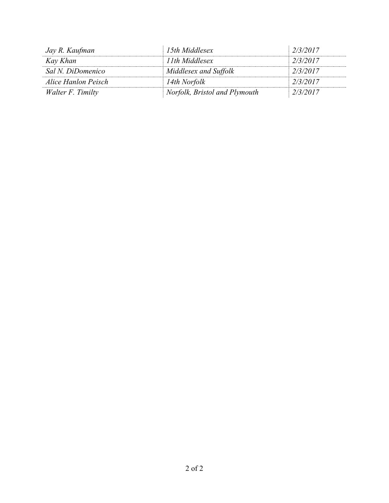| Jay R. Kaufman      | 15th Middlesex                | 2/3/2017 |
|---------------------|-------------------------------|----------|
| Kay Khan            | 11th Middlesex                | 2/3/2017 |
| Sal N. DiDomenico   | Middlesex and Suffolk         | 2/3/2017 |
| Alice Hanlon Peisch | 14th Norfolk                  | 2/3/2017 |
| Walter F. Timilty   | Norfolk, Bristol and Plymouth | 2/3/2017 |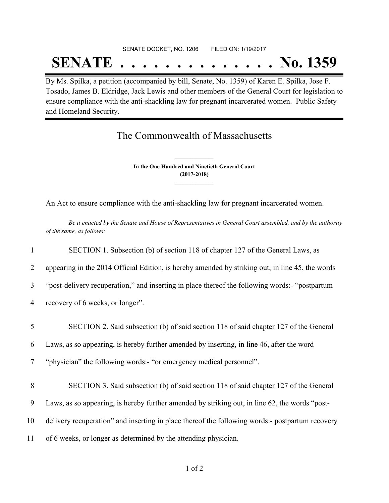## SENATE DOCKET, NO. 1206 FILED ON: 1/19/2017 **SENATE . . . . . . . . . . . . . . No. 1359**

By Ms. Spilka, a petition (accompanied by bill, Senate, No. 1359) of Karen E. Spilka, Jose F. Tosado, James B. Eldridge, Jack Lewis and other members of the General Court for legislation to ensure compliance with the anti-shackling law for pregnant incarcerated women. Public Safety and Homeland Security.

## The Commonwealth of Massachusetts

**In the One Hundred and Ninetieth General Court (2017-2018) \_\_\_\_\_\_\_\_\_\_\_\_\_\_\_**

**\_\_\_\_\_\_\_\_\_\_\_\_\_\_\_**

An Act to ensure compliance with the anti-shackling law for pregnant incarcerated women.

Be it enacted by the Senate and House of Representatives in General Court assembled, and by the authority *of the same, as follows:*

| $\mathbf{1}$ | SECTION 1. Subsection (b) of section 118 of chapter 127 of the General Laws, as                  |
|--------------|--------------------------------------------------------------------------------------------------|
| 2            | appearing in the 2014 Official Edition, is hereby amended by striking out, in line 45, the words |
| 3            | "post-delivery recuperation," and inserting in place thereof the following words:- "postpartum"  |
| 4            | recovery of 6 weeks, or longer".                                                                 |
| 5            | SECTION 2. Said subsection (b) of said section 118 of said chapter 127 of the General            |
| 6            | Laws, as so appearing, is hereby further amended by inserting, in line 46, after the word        |
| 7            | "physician" the following words:- "or emergency medical personnel".                              |
| 8            | SECTION 3. Said subsection (b) of said section 118 of said chapter 127 of the General            |
| 9            | Laws, as so appearing, is hereby further amended by striking out, in line 62, the words "post-   |
| 10           | delivery recuperation" and inserting in place thereof the following words:- postpartum recovery  |
| 11           | of 6 weeks, or longer as determined by the attending physician.                                  |
|              |                                                                                                  |